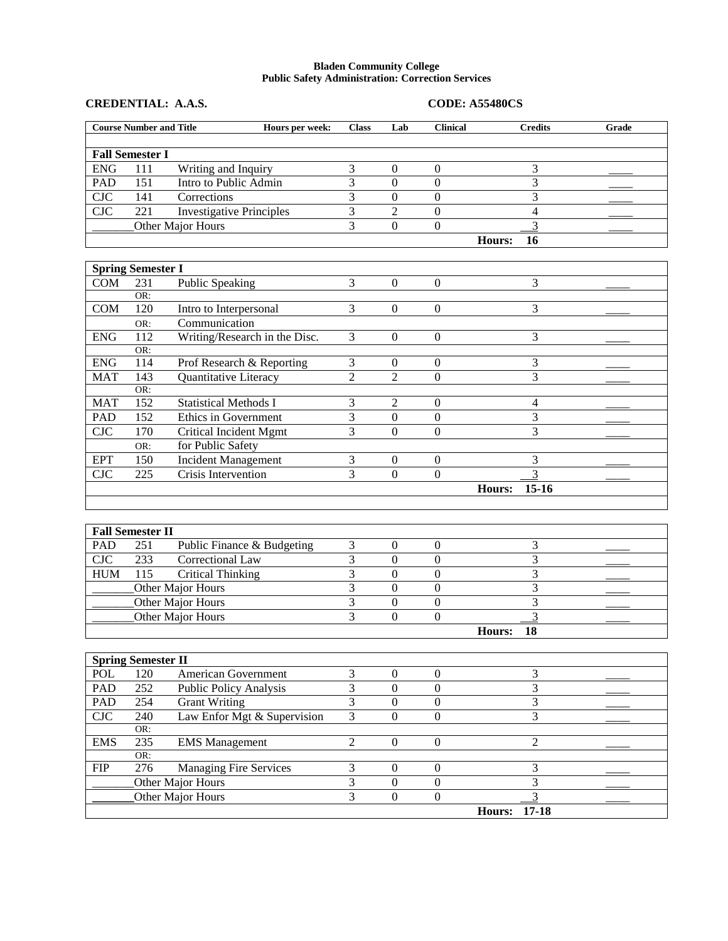## **Bladen Community College Public Safety Administration: Correction Services**

|                   | <b>Course Number and Title</b>   | Hours per week:                 | <b>Class</b>            | Lab              | <b>Clinical</b>  | <b>Credits</b>      | Grade |  |
|-------------------|----------------------------------|---------------------------------|-------------------------|------------------|------------------|---------------------|-------|--|
|                   |                                  |                                 |                         |                  |                  |                     |       |  |
|                   | <b>Fall Semester I</b>           |                                 |                         |                  |                  |                     |       |  |
| <b>ENG</b>        | 111                              | Writing and Inquiry             | 3                       | $\mathbf{0}$     | $\overline{0}$   | 3                   |       |  |
| <b>PAD</b>        | 151                              | Intro to Public Admin           | 3                       | $\Omega$         | $\mathbf{0}$     | 3                   |       |  |
| CIC               | 141                              | Corrections                     | 3                       | $\overline{0}$   | $\overline{0}$   | 3                   |       |  |
| <b>CJC</b>        | 221                              | <b>Investigative Principles</b> | $\overline{3}$          | $\overline{2}$   | $\mathbf{0}$     | $\overline{4}$      |       |  |
|                   |                                  | Other Major Hours               | $\overline{3}$          | $\Omega$         | $\overline{0}$   |                     |       |  |
|                   |                                  |                                 |                         |                  |                  | Hours:<br>16        |       |  |
|                   |                                  |                                 |                         |                  |                  |                     |       |  |
|                   | <b>Spring Semester I</b>         |                                 |                         |                  |                  |                     |       |  |
| <b>COM</b>        | 231                              | <b>Public Speaking</b>          | 3                       | $\Omega$         | $\overline{0}$   | 3                   |       |  |
|                   | OR:                              |                                 |                         |                  |                  |                     |       |  |
| COM               | 120                              | Intro to Interpersonal          | 3                       | $\Omega$         | $\boldsymbol{0}$ | 3                   |       |  |
|                   | OR:                              | Communication                   |                         |                  |                  |                     |       |  |
| <b>ENG</b>        | 112<br>OR:                       | Writing/Research in the Disc.   | 3                       | $\Omega$         | $\overline{0}$   | $\overline{3}$      |       |  |
| <b>ENG</b>        | 114                              | Prof Research & Reporting       | 3                       | $\theta$         | $\boldsymbol{0}$ | 3                   |       |  |
| <b>MAT</b>        | 143                              | Quantitative Literacy           | $\overline{2}$          | $\overline{2}$   | $\Omega$         | $\overline{3}$      |       |  |
|                   | OR:                              |                                 |                         |                  |                  |                     |       |  |
| <b>MAT</b>        | 152                              | <b>Statistical Methods I</b>    | 3                       | $\overline{2}$   | $\mathbf{0}$     | $\overline{4}$      |       |  |
| PAD               | 152                              | Ethics in Government            | $\overline{3}$          | $\overline{0}$   | $\mathbf{0}$     | 3                   |       |  |
| <b>CJC</b>        | 170                              | <b>Critical Incident Mgmt</b>   | 3                       | $\Omega$         | $\overline{0}$   | 3                   |       |  |
|                   | OR:                              | for Public Safety               |                         |                  |                  |                     |       |  |
| <b>EPT</b>        | 150                              | <b>Incident Management</b>      | 3                       | $\overline{0}$   | $\boldsymbol{0}$ | 3                   |       |  |
| CIC               | 225                              | Crisis Intervention             | $\overline{3}$          | $\Omega$         | $\overline{0}$   | $\overline{3}$      |       |  |
|                   |                                  |                                 |                         |                  |                  | $15 - 16$<br>Hours: |       |  |
|                   |                                  |                                 |                         |                  |                  |                     |       |  |
|                   |                                  |                                 |                         |                  |                  |                     |       |  |
|                   | <b>Fall Semester II</b>          |                                 |                         |                  |                  |                     |       |  |
| <b>PAD</b>        | 251                              | Public Finance & Budgeting      | 3                       | $\boldsymbol{0}$ | $\overline{0}$   | 3                   |       |  |
| CIC               | 233                              | <b>Correctional Law</b>         | $\overline{3}$          | $\overline{0}$   | $\overline{0}$   | $\overline{3}$      |       |  |
| <b>HUM</b>        | $\overline{115}$                 | <b>Critical Thinking</b>        | $\overline{\mathbf{3}}$ | $\overline{0}$   | $\overline{0}$   | 3                   |       |  |
|                   |                                  | Other Major Hours               | 3                       | $\Omega$         | $\mathbf{0}$     | 3                   |       |  |
| Other Major Hours |                                  |                                 | $\overline{3}$          | $\overline{0}$   | $\overline{0}$   | $\overline{3}$      |       |  |
|                   | Other Major Hours                |                                 |                         | $\Omega$         | $\overline{0}$   | $\overline{3}$      |       |  |
|                   |                                  |                                 |                         |                  |                  | Hours:<br>18        |       |  |
|                   |                                  |                                 |                         |                  |                  |                     |       |  |
| <b>POL</b>        | <b>Spring Semester II</b><br>120 | American Government             | 3                       | $\overline{0}$   | $\overline{0}$   | 3                   |       |  |
| <b>PAD</b>        | $\overline{252}$                 |                                 | $\overline{\mathbf{3}}$ | $\boldsymbol{0}$ | $\mathbf{0}$     | 3                   |       |  |
|                   |                                  | Public Policy Analysis          | $\overline{\mathbf{3}}$ | $\overline{0}$   | $\overline{0}$   | $\mathbf{3}$        |       |  |
| PAD               | 254                              | Grant Writing                   |                         |                  |                  |                     |       |  |

|            |                                        |                               |  |  | $17 - 18$<br>Hours: |  |
|------------|----------------------------------------|-------------------------------|--|--|---------------------|--|
|            | Other Major Hours<br>Other Major Hours |                               |  |  |                     |  |
|            |                                        |                               |  |  |                     |  |
| <b>FIP</b> | 276                                    | <b>Managing Fire Services</b> |  |  |                     |  |
|            | OR:                                    |                               |  |  |                     |  |
| <b>EMS</b> | 235                                    | <b>EMS</b> Management         |  |  |                     |  |
|            | OR:                                    |                               |  |  |                     |  |
| <b>CJC</b> | 240                                    | Law Enfor Mgt & Supervision   |  |  |                     |  |
| <b>PAD</b> | 254                                    | <b>Grant Writing</b>          |  |  |                     |  |

**CREDENTIAL: A.A.S. CODE: A55480CS**